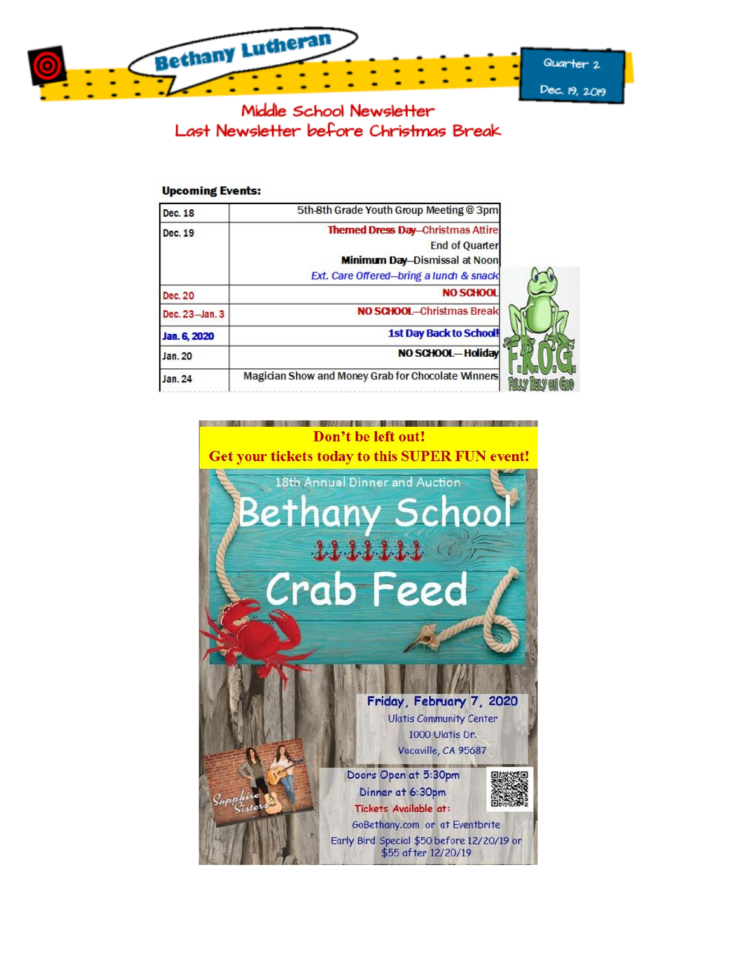

Middle School Newsletter Last Newsletter before Christmas Break

#### **Upcoming Events:**

| Dec. 18        | 5th-8th Grade Youth Group Meeting @ 3pm            |
|----------------|----------------------------------------------------|
| Dec. 19        | <b>Themed Dress Day-Christmas Attire</b>           |
|                | <b>End of Quarter</b>                              |
|                | <b>Minimum Day-Dismissal at Noon</b>               |
|                | Ext. Care Offered-bring a lunch & snack            |
| Dec. 20        | NO SCHOOL                                          |
| Dec. 23-Jan. 3 | NO SCHOOL-Christmas Break                          |
| Jan. 6, 2020   | <b>1st Day Back to School!</b>                     |
| Jan. 20        | NO SCHOOL-Holiday                                  |
| <b>Jan. 24</b> | Magician Show and Money Grab for Chocolate Winners |

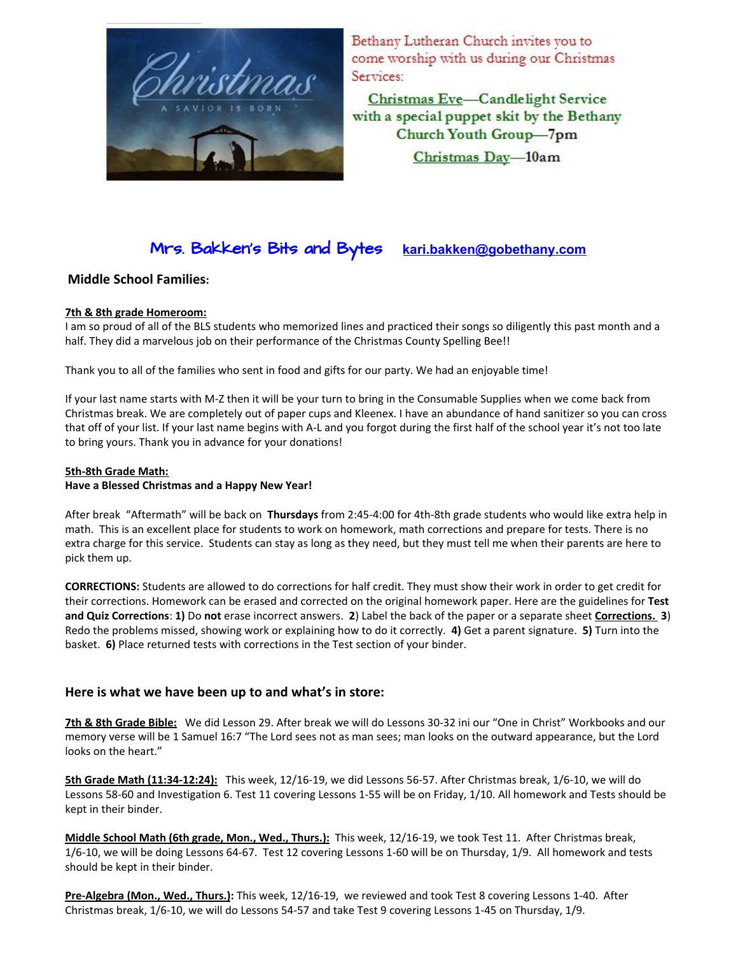

Bethany Lutheran Church invites you to come worship with us during our Christmas Services:

Christmas Eve-Candlelight Service with a special puppet skit by the Bethany Church Youth Group-7pm Christmas Day-10am

# Mrs. Bakken's Bits and Bytes **kari.bakken@gobethany.com**

#### **Middle School Families:**

#### **7th & 8th grade Homeroom:**

I am so proud of all of the BLS students who memorized lines and practiced their songs so diligently this past month and a half. They did a marvelous job on their performance of the Christmas County Spelling Bee!!

Thank you to all of the families who sent in food and gifts for our party. We had an enjoyable time!

If your last name starts with M-Z then it will be your turn to bring in the Consumable Supplies when we come back from Christmas break. We are completely out of paper cups and Kleenex. I have an abundance of hand sanitizer so you can cross that off of your list. If your last name begins with A-L and you forgot during the first half of the school year it's not too late to bring yours. Thank you in advance for your donations!

#### **5th-8th Grade Math:**

#### **Have a Blessed Christmas and a Happy New Year!**

After break "Aftermath" will be back on **Thursdays** from 2:45-4:00 for 4th-8th grade students who would like extra help in math. This is an excellent place for students to work on homework, math corrections and prepare for tests. There is no extra charge for this service. Students can stay as long as they need, but they must tell me when their parents are here to pick them up.

**CORRECTIONS:** Students are allowed to do corrections for half credit. They must show their work in order to get credit for their corrections. Homework can be erased and corrected on the original homework paper. Here are the guidelines for **Test and Quiz Corrections**: **1)** Do **not** erase incorrect answers. **2**) Label the back of the paper or a separate sheet **Corrections. 3**) Redo the problems missed, showing work or explaining how to do it correctly. **4)** Get a parent signature. **5)** Turn into the basket. **6)** Place returned tests with corrections in the Test section of your binder.

#### **Here is what we have been up to and what's in store:**

**7th & 8th Grade Bible:** We did Lesson 29. After break we will do Lessons 30-32 ini our "One in Christ" Workbooks and our memory verse will be 1 Samuel 16:7 "The Lord sees not as man sees; man looks on the outward appearance, but the Lord looks on the heart."

**5th Grade Math (11:34-12:24):** This week, 12/16-19, we did Lessons 56-57. After Christmas break, 1/6-10, we will do Lessons 58-60 and Investigation 6. Test 11 covering Lessons 1-55 will be on Friday, 1/10. All homework and Tests should be kept in their binder.

**Middle School Math (6th grade, Mon., Wed., Thurs.):** This week, 12/16-19, we took Test 11. After Christmas break, 1/6-10, we will be doing Lessons 64-67. Test 12 covering Lessons 1-60 will be on Thursday, 1/9. All homework and tests should be kept in their binder.

**Pre-Algebra (Mon., Wed., Thurs.):** This week, 12/16-19, we reviewed and took Test 8 covering Lessons 1-40. After Christmas break, 1/6-10, we will do Lessons 54-57 and take Test 9 covering Lessons 1-45 on Thursday, 1/9.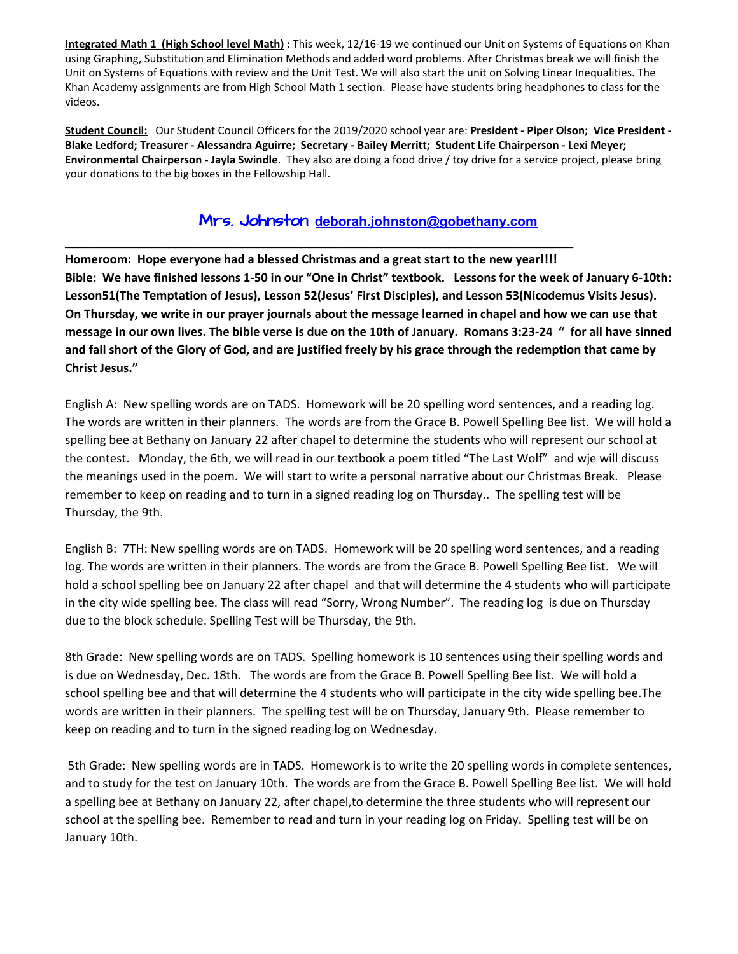**Integrated Math 1 (High School level Math) :** This week, 12/16-19 we continued our Unit on Systems of Equations on Khan using Graphing, Substitution and Elimination Methods and added word problems. After Christmas break we will finish the Unit on Systems of Equations with review and the Unit Test. We will also start the unit on Solving Linear Inequalities. The Khan Academy assignments are from High School Math 1 section. Please have students bring headphones to class for the videos.

**Student Council:** Our Student Council Officers for the 2019/2020 school year are: **President - Piper Olson; Vice President -** Blake Ledford; Treasurer - Alessandra Aguirre; Secretary - Bailey Merritt; Student Life Chairperson - Lexi Meyer; **Environmental Chairperson - Jayla Swindle**. They also are doing a food drive / toy drive for a service project, please bring your donations to the big boxes in the Fellowship Hall.

### Mrs. Johnston **deborah.johnsto[n@gobethany.com](mailto:megumi.nomura@gobethany.com)**

\_\_\_\_\_\_\_\_\_\_\_\_\_\_\_\_\_\_\_\_\_\_\_\_\_\_\_\_\_\_\_\_\_\_\_\_\_\_\_\_\_\_\_\_\_\_\_\_\_\_\_\_\_\_\_\_\_\_\_\_\_\_\_\_\_\_\_\_\_

**Homeroom: Hope everyone had a blessed Christmas and a great start to the new year!!!!** Bible: We have finished lessons 1-50 in our "One in Christ" textbook. Lessons for the week of January 6-10th: **Lesson51(The Temptation of Jesus), Lesson 52(Jesus' First Disciples), and Lesson 53(Nicodemus Visits Jesus).** On Thursday, we write in our prayer journals about the message learned in chapel and how we can use that message in our own lives. The bible verse is due on the 10th of January. Romans 3:23-24 " for all have sinned and fall short of the Glory of God, and are justified freely by his grace through the redemption that came by **Christ Jesus."**

English A: New spelling words are on TADS. Homework will be 20 spelling word sentences, and a reading log. The words are written in their planners. The words are from the Grace B. Powell Spelling Bee list. We will hold a spelling bee at Bethany on January 22 after chapel to determine the students who will represent our school at the contest. Monday, the 6th, we will read in our textbook a poem titled "The Last Wolf" and wje will discuss the meanings used in the poem. We will start to write a personal narrative about our Christmas Break. Please remember to keep on reading and to turn in a signed reading log on Thursday.. The spelling test will be Thursday, the 9th.

English B: 7TH: New spelling words are on TADS. Homework will be 20 spelling word sentences, and a reading log. The words are written in their planners. The words are from the Grace B. Powell Spelling Bee list. We will hold a school spelling bee on January 22 after chapel and that will determine the 4 students who will participate in the city wide spelling bee. The class will read "Sorry, Wrong Number". The reading log is due on Thursday due to the block schedule. Spelling Test will be Thursday, the 9th.

8th Grade: New spelling words are on TADS. Spelling homework is 10 sentences using their spelling words and is due on Wednesday, Dec. 18th. The words are from the Grace B. Powell Spelling Bee list. We will hold a school spelling bee and that will determine the 4 students who will participate in the city wide spelling bee.The words are written in their planners. The spelling test will be on Thursday, January 9th. Please remember to keep on reading and to turn in the signed reading log on Wednesday.

5th Grade: New spelling words are in TADS. Homework is to write the 20 spelling words in complete sentences, and to study for the test on January 10th. The words are from the Grace B. Powell Spelling Bee list. We will hold a spelling bee at Bethany on January 22, after chapel,to determine the three students who will represent our school at the spelling bee. Remember to read and turn in your reading log on Friday. Spelling test will be on January 10th.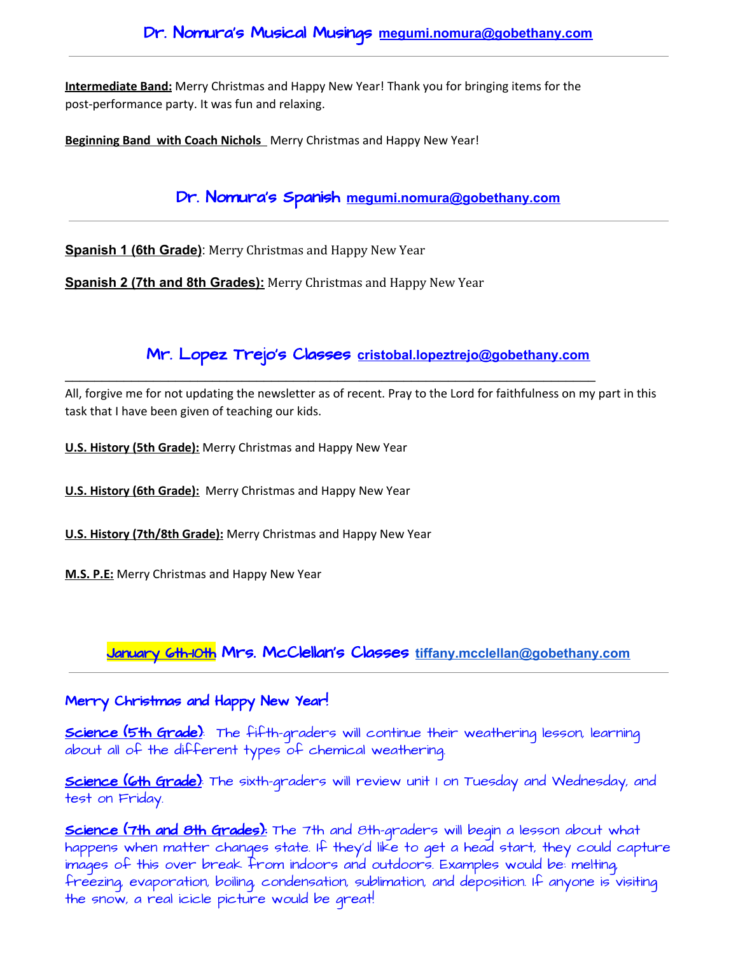**Intermediate Band:** Merry Christmas and Happy New Year! Thank you for bringing items for the post-performance party. It was fun and relaxing.

**Beginning Band with Coach Nichols** Merry Christmas and Happy New Year!

Dr. Nomura's Spanish **[megumi.nomura@gobethany.com](mailto:megumi.nomura@gobethany.com)**

**Spanish 1 (6th Grade)**: Merry Christmas and Happy New Year

**Spanish 2 (7th and 8th Grades):** Merry Christmas and Happy New Year

## Mr. Lopez Trejo's Classes **cristobal.lopeztrejo[@gobethany.com](mailto:megumi.nomura@gobethany.com)**

All, forgive me for not updating the newsletter as of recent. Pray to the Lord for faithfulness on my part in this task that I have been given of teaching our kids.

\_\_\_\_\_\_\_\_\_\_\_\_\_\_\_\_\_\_\_\_\_\_\_\_\_\_\_\_\_\_\_\_\_\_\_\_\_\_\_\_\_\_\_\_\_\_\_\_\_\_\_\_\_\_\_\_\_\_\_\_\_\_\_\_\_\_\_\_\_\_\_\_

**U.S. History (5th Grade):** Merry Christmas and Happy New Year

**U.S. History (6th Grade):** Merry Christmas and Happy New Year

**U.S. History (7th/8th Grade):** Merry Christmas and Happy New Year

**M.S. P.E:** Merry Christmas and Happy New Year

## January 6th-10th Mrs. McClellan's Classes **[tiffany.mcclellan@gobethany.com](mailto:tiffany.mcclellan@gobethany.com)**

### Merry Christmas and Happy New Year!

**Science (5th Grade)**: The fifth-graders will continue their weathering lesson, learning about all of the different types of chemical weathering.

**Science (6th Grade)**: The sixth-graders will review unit I on Tuesday and Wednesday, and test on Friday.

Science (7th and 8th Grades): The 7th and 8th-graders will begin a lesson about what happens when matter changes state. If they'd like to get a head start, they could capture images of this over break from indoors and outdoors. Examples would be: melting, freezing, evaporation, boiling, condensation, sublimation, and deposition. If anyone is visiting the snow, a real icicle picture would be great!